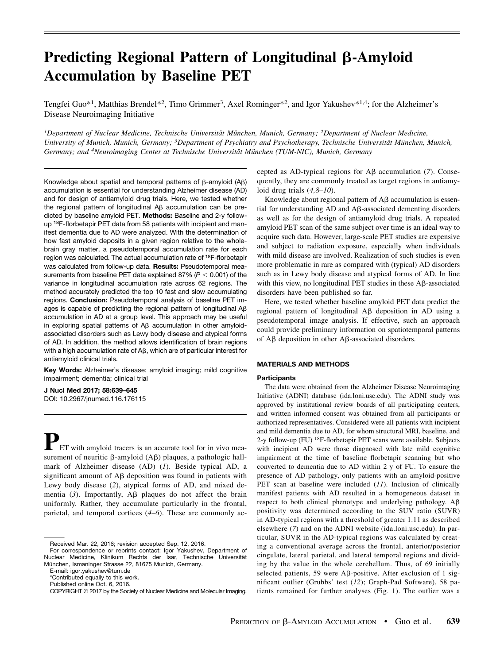# Predicting Regional Pattern of Longitudinal  $\beta$ -Amyloid Accumulation by Baseline PET

Tengfei Guo<sup>\*1</sup>, Matthias Brendel<sup>\*2</sup>, Timo Grimmer<sup>3</sup>, Axel Rominger<sup>\*2</sup>, and Igor Yakushev<sup>\*1,4</sup>; for the Alzheimer's Disease Neuroimaging Initiative

<sup>1</sup>Department of Nuclear Medicine, Technische Universität München, Munich, Germany; <sup>2</sup>Department of Nuclear Medicine, University of Munich, Munich, Germany; <sup>3</sup>Department of Psychiatry and Psychotherapy, Technische Universität München, Munich, Germany; and 4Neuroimaging Center at Technische Universität München (TUM-NIC), Munich, Germany

Knowledge about spatial and temporal patterns of  $\beta$ -amyloid (A $\beta$ ) accumulation is essential for understanding Alzheimer disease (AD) and for design of antiamyloid drug trials. Here, we tested whether the regional pattern of longitudinal  $AB$  accumulation can be predicted by baseline amyloid PET. Methods: Baseline and 2-y followup <sup>18</sup>F-florbetapir PET data from 58 patients with incipient and manifest dementia due to AD were analyzed. With the determination of how fast amyloid deposits in a given region relative to the wholebrain gray matter, a pseudotemporal accumulation rate for each region was calculated. The actual accumulation rate of 18F-florbetapir was calculated from follow-up data. Results: Pseudotemporal measurements from baseline PET data explained  $87\%$  ( $P < 0.001$ ) of the variance in longitudinal accumulation rate across 62 regions. The method accurately predicted the top 10 fast and slow accumulating regions. Conclusion: Pseudotemporal analysis of baseline PET images is capable of predicting the regional pattern of longitudinal A $\beta$ accumulation in AD at a group level. This approach may be useful in exploring spatial patterns of A<sub>B</sub> accumulation in other amyloidassociated disorders such as Lewy body disease and atypical forms of AD. In addition, the method allows identification of brain regions with a high accumulation rate of  $A\beta$ , which are of particular interest for antiamyloid clinical trials.

Key Words: Alzheimer's disease; amyloid imaging; mild cognitive impairment; dementia; clinical trial

J Nucl Med 2017; 58:639–645 DOI: 10.2967/jnumed.116.176115

ET with amyloid tracers is an accurate tool for in vivo measurement of neuritic  $\beta$ -amyloid (A $\beta$ ) plaques, a pathologic hallmark of Alzheimer disease (AD) (1). Beside typical AD, a significant amount of  $A\beta$  deposition was found in patients with Lewy body disease (2), atypical forms of AD, and mixed dementia  $(3)$ . Importantly, A $\beta$  plaques do not affect the brain uniformly. Rather, they accumulate particularly in the frontal, parietal, and temporal cortices (4–6). These are commonly ac-

E-mail: [igor.yakushev@tum.de](mailto:igor.yakushev@tum.de)

\*Contributed equally to this work.

cepted as AD-typical regions for  $\overrightarrow{AB}$  accumulation (7). Consequently, they are commonly treated as target regions in antiamyloid drug trials  $(4,8-10)$ .

Knowledge about regional pattern of  $A\beta$  accumulation is essential for understanding  $AD$  and  $A\beta$ -associated dementing disorders as well as for the design of antiamyloid drug trials. A repeated amyloid PET scan of the same subject over time is an ideal way to acquire such data. However, large-scale PET studies are expensive and subject to radiation exposure, especially when individuals with mild disease are involved. Realization of such studies is even more problematic in rare as compared with (typical) AD disorders such as in Lewy body disease and atypical forms of AD. In line with this view, no longitudinal PET studies in these  $\text{A}\beta$ -associated disorders have been published so far.

Here, we tested whether baseline amyloid PET data predict the regional pattern of longitudinal Aβ deposition in AD using a pseudotemporal image analysis. If effective, such an approach could provide preliminary information on spatiotemporal patterns of  $\overrightarrow{AB}$  deposition in other  $\overrightarrow{AB}$ -associated disorders.

## MATERIALS AND METHODS

#### **Participants**

The data were obtained from the Alzheimer Disease Neuroimaging Initiative (ADNI) database [\(ida.loni.usc.edu\)](http://ida.loni.usc.edu). The ADNI study was approved by institutional review boards of all participating centers, and written informed consent was obtained from all participants or authorized representatives. Considered were all patients with incipient and mild dementia due to AD, for whom structural MRI, baseline, and 2-y follow-up (FU) 18F-florbetapir PET scans were available. Subjects with incipient AD were those diagnosed with late mild cognitive impairment at the time of baseline florbetapir scanning but who converted to dementia due to AD within 2 y of FU. To ensure the presence of AD pathology, only patients with an amyloid-positive PET scan at baseline were included (11). Inclusion of clinically manifest patients with AD resulted in a homogeneous dataset in respect to both clinical phenotype and underlying pathology.  $A\beta$ positivity was determined according to the SUV ratio (SUVR) in AD-typical regions with a threshold of greater 1.11 as described elsewhere (7) and on the ADNI website [\(ida.loni.usc.edu\)](http://ida.loni.usc.edu). In particular, SUVR in the AD-typical regions was calculated by creating a conventional average across the frontal, anterior/posterior cingulate, lateral parietal, and lateral temporal regions and dividing by the value in the whole cerebellum. Thus, of 69 initially selected patients, 59 were A $\beta$ -positive. After exclusion of 1 significant outlier (Grubbs' test (12); Graph-Pad Software), 58 patients remained for further analyses (Fig. 1). The outlier was a

Received Mar. 22, 2016; revision accepted Sep. 12, 2016.

For correspondence or reprints contact: Igor Yakushev, Department of Nuclear Medicine, Klinikum Rechts der Isar, Technische Universität München, Ismaninger Strasse 22, 81675 Munich, Germany.

Published online Oct. 6, 2016.

COPYRIGHT © 2017 by the Society of Nuclear Medicine and Molecular Imaging.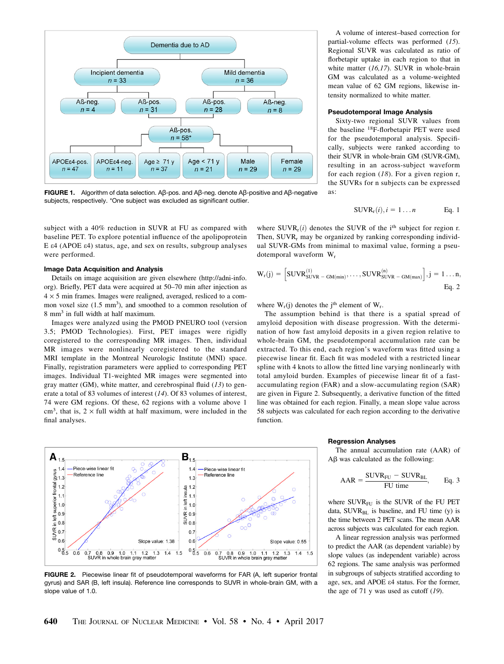

FIGURE 1. Algorithm of data selection. Aβ-pos. and Aβ-neg. denote Aβ-positive and Aβ-negative subjects, respectively. \*One subject was excluded as significant outlier.

subject with a 40% reduction in SUVR at FU as compared with baseline PET. To explore potential influence of the apolipoprotein E e4 (APOE e4) status, age, and sex on results, subgroup analyses were performed.

#### Image Data Acquisition and Analysis

Details on image acquisition are given elsewhere [\(http://adni-info.](http://adni-info.org) [org](http://adni-info.org)). Briefly, PET data were acquired at 50–70 min after injection as  $4 \times 5$  min frames. Images were realigned, averaged, resliced to a common voxel size (1.5 mm<sup>3</sup>), and smoothed to a common resolution of 8 mm3 in full width at half maximum.

Images were analyzed using the PMOD PNEURO tool (version 3.5; PMOD Technologies). First, PET images were rigidly coregistered to the corresponding MR images. Then, individual MR images were nonlinearly coregistered to the standard MRI template in the Montreal Neurologic Institute (MNI) space. Finally, registration parameters were applied to corresponding PET images. Individual T1-weighted MR images were segmented into gray matter (GM), white matter, and cerebrospinal fluid  $(13)$  to generate a total of 83 volumes of interest (14). Of 83 volumes of interest, 74 were GM regions. Of these, 62 regions with a volume above 1 cm<sup>3</sup>, that is,  $2 \times$  full width at half maximum, were included in the final analyses.



FIGURE 2. Piecewise linear fit of pseudotemporal waveforms for FAR (A, left superior frontal gyrus) and SAR (B, left insula). Reference line corresponds to SUVR in whole-brain GM, with a slope value of 1.0.

A volume of interest–based correction for partial-volume effects was performed (15). Regional SUVR was calculated as ratio of florbetapir uptake in each region to that in white matter  $(16,17)$ . SUVR in whole-brain GM was calculated as a volume-weighted mean value of 62 GM regions, likewise intensity normalized to white matter.

#### Pseudotemporal Image Analysis

Sixty-two regional SUVR values from the baseline 18F-florbetapir PET were used for the pseudotemporal analysis. Specifically, subjects were ranked according to their SUVR in whole-brain GM (SUVR-GM), resulting in an across-subject waveform for each region  $(18)$ . For a given region r, the SUVRs for n subjects can be expressed as:

$$
SUVR_r(i), i = 1...n \qquad Eq. 1
$$

where  $\text{SUVR}_r(i)$  denotes the SUVR of the i<sup>th</sup> subject for region r. Then,  $SUVR_r$  may be organized by ranking corresponding individual SUVR-GMs from minimal to maximal value, forming a pseudotemporal waveform Wr

$$
W_r(j) = \Big[ \text{SUVR}_{\text{SUVR}}^{(1)} - \text{GM}(\text{min}) , \dots, \text{SUVR}_{\text{SUVR}}^{(n)} - \text{GM}(\text{max}) \Big], j = 1 \dots n, \text{Eq. 2}
$$

where  $W_r(j)$  denotes the j<sup>th</sup> element of  $W_r$ .

The assumption behind is that there is a spatial spread of amyloid deposition with disease progression. With the determination of how fast amyloid deposits in a given region relative to whole-brain GM, the pseudotemporal accumulation rate can be extracted. To this end, each region's waveform was fitted using a piecewise linear fit. Each fit was modeled with a restricted linear spline with 4 knots to allow the fitted line varying nonlinearly with total amyloid burden. Examples of piecewise linear fit of a fastaccumulating region (FAR) and a slow-accumulating region (SAR) are given in Figure 2. Subsequently, a derivative function of the fitted line was obtained for each region. Finally, a mean slope value across 58 subjects was calculated for each region according to the derivative function.

#### Regression Analyses

The annual accumulation rate (AAR) of  $A\beta$  was calculated as the following:

$$
AAR = \frac{SUVR_{FU} - SUVR_{BL}}{FU \text{ time}}, \qquad Eq. 3
$$

where  $\text{SUVR}_{\text{FU}}$  is the SUVR of the FU PET data,  $SUVR<sub>BL</sub>$  is baseline, and FU time (y) is the time between 2 PET scans. The mean AAR across subjects was calculated for each region.

A linear regression analysis was performed to predict the AAR (as dependent variable) by slope values (as independent variable) across 62 regions. The same analysis was performed in subgroups of subjects stratified according to age, sex, and APOE e4 status. For the former, the age of 71 y was used as cutoff  $(19)$ .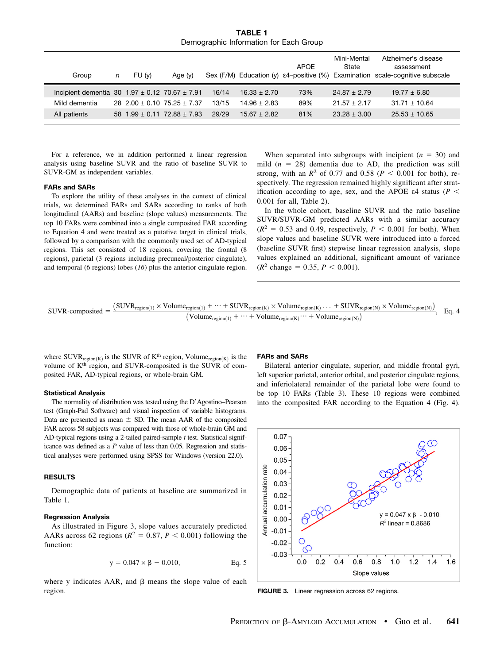TABLE 1 Demographic Information for Each Group

| Group                                                  | n | FU (y) | Age (y)                             |       |                  | APOE | Mini-Mental<br>State | Alzheimer's disease<br>assessment<br>Sex (F/M) Education (y) ε4-positive (%) Examination scale-cognitive subscale |
|--------------------------------------------------------|---|--------|-------------------------------------|-------|------------------|------|----------------------|-------------------------------------------------------------------------------------------------------------------|
| Incipient dementia 30 $1.97 \pm 0.12$ 70.67 $\pm$ 7.91 |   |        |                                     | 16/14 | $16.33 \pm 2.70$ | 73%  | $24.87 \pm 2.79$     | $19.77 \pm 6.80$                                                                                                  |
| Mild dementia                                          |   |        | $28$ 2.00 ± 0.10 75.25 ± 7.37       | 13/15 | $14.96 + 2.83$   | 89%  | $21.57 + 2.17$       | $31.71 \pm 10.64$                                                                                                 |
| All patients                                           |   |        | 58 $1.99 \pm 0.11$ 72.88 $\pm$ 7.93 | 29/29 | $15.67 \pm 2.82$ | 81%  | $23.28 \pm 3.00$     | $25.53 \pm 10.65$                                                                                                 |

For a reference, we in addition performed a linear regression analysis using baseline SUVR and the ratio of baseline SUVR to SUVR-GM as independent variables.

## FARs and SARs

To explore the utility of these analyses in the context of clinical trials, we determined FARs and SARs according to ranks of both longitudinal (AARs) and baseline (slope values) measurements. The top 10 FARs were combined into a single composited FAR according to Equation 4 and were treated as a putative target in clinical trials, followed by a comparison with the commonly used set of AD-typical regions. This set consisted of 18 regions, covering the frontal (8 regions), parietal (3 regions including precuneal/posterior cingulate), and temporal (6 regions) lobes (16) plus the anterior cingulate region.

When separated into subgroups with incipient  $(n = 30)$  and mild  $(n = 28)$  dementia due to AD, the prediction was still strong, with an  $R^2$  of 0.77 and 0.58 ( $P < 0.001$  for both), respectively. The regression remained highly significant after stratification according to age, sex, and the APOE  $\varepsilon$ 4 status (P < 0.001 for all, Table 2).

In the whole cohort, baseline SUVR and the ratio baseline SUVR/SUVR-GM predicted AARs with a similar accuracy  $(R^2 = 0.53$  and 0.49, respectively,  $P < 0.001$  for both). When slope values and baseline SUVR were introduced into a forced (baseline SUVR first) stepwise linear regression analysis, slope values explained an additional, significant amount of variance  $(R^2 \text{ change} = 0.35, P < 0.001).$ 

$$
SUVR\text{-composited} = \frac{\left(SUVR_{\text{region}(1)} \times Volume_{\text{region}(1)} + \cdots + SUVR_{\text{region}(K)} \times Volume_{\text{region}(K)} \cdots + SUVR_{\text{region}(N)} \times Volume_{\text{region}(N)}\right)}{\left(Volume_{\text{region}(1)} + \cdots + Volume_{\text{region}(K)} \cdots + Volume_{\text{region}(N)}\right)}, \quad \text{Eq.\ 4}
$$

where  $\text{SUVR}_{\text{region}(K)}$  is the SUVR of K<sup>th</sup> region, Volume<sub>region</sub><sub>(K)</sub> is the volume of K<sup>th</sup> region, and SUVR-composited is the SUVR of composited FAR, AD-typical regions, or whole-brain GM.

#### Statistical Analysis

The normality of distribution was tested using the D'Agostino–Pearson test (Graph-Pad Software) and visual inspection of variable histograms. Data are presented as mean  $\pm$  SD. The mean AAR of the composited FAR across 58 subjects was compared with those of whole-brain GM and AD-typical regions using a 2-tailed paired-sample  $t$  test. Statistical significance was defined as a P value of less than 0.05. Regression and statistical analyses were performed using SPSS for Windows (version 22.0).

## RESULTS

Demographic data of patients at baseline are summarized in Table 1.

## Regression Analysis

As illustrated in Figure 3, slope values accurately predicted AARs across 62 regions ( $R^2 = 0.87$ ,  $P < 0.001$ ) following the function:

$$
y = 0.047 \times \beta - 0.010, \qquad Eq. 5
$$

where y indicates  $AAR$ , and  $\beta$  means the slope value of each region.

#### FARs and SARs

Bilateral anterior cingulate, superior, and middle frontal gyri, left superior parietal, anterior orbital, and posterior cingulate regions, and inferiolateral remainder of the parietal lobe were found to be top 10 FARs (Table 3). These 10 regions were combined into the composited FAR according to the Equation 4 (Fig. 4).



FIGURE 3. Linear regression across 62 regions.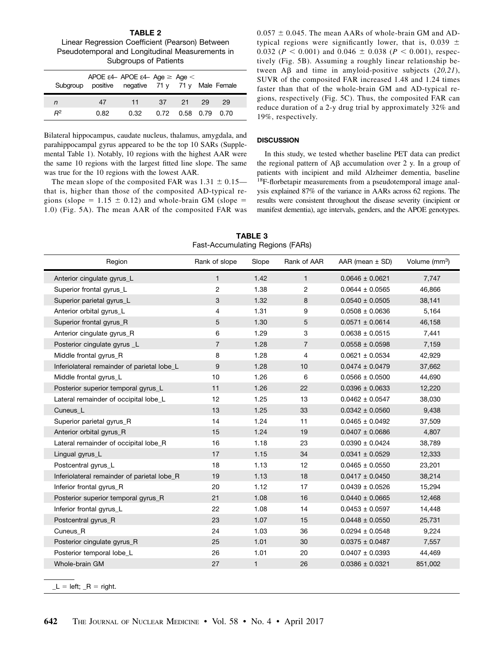TABLE 2 Linear Regression Coefficient (Pearson) Between Pseudotemporal and Longitudinal Measurements in Subgroups of Patients

|                |      | APOE $\varepsilon$ 4- APOE $\varepsilon$ 4- Age $\geq$ Age $\lt$<br>Subgroup positive negative 71 y 71 y Male Female |                        |    |    |
|----------------|------|----------------------------------------------------------------------------------------------------------------------|------------------------|----|----|
| n              | 47   | 11                                                                                                                   | 37 21                  | 29 | 29 |
| R <sup>2</sup> | 0.82 | 0.32                                                                                                                 | 0.72  0.58  0.79  0.70 |    |    |

Bilateral hippocampus, caudate nucleus, thalamus, amygdala, and parahippocampal gyrus appeared to be the top 10 SARs (Supplemental Table 1). Notably, 10 regions with the highest AAR were the same 10 regions with the largest fitted line slope. The same was true for the 10 regions with the lowest AAR.

The mean slope of the composited FAR was  $1.31 \pm 0.15$  that is, higher than those of the composited AD-typical regions (slope =  $1.15 \pm 0.12$ ) and whole-brain GM (slope = 1.0) (Fig. 5A). The mean AAR of the composited FAR was

 $0.057 \pm 0.045$ . The mean AARs of whole-brain GM and ADtypical regions were significantly lower, that is, 0.039  $\pm$ 0.032 ( $P < 0.001$ ) and 0.046  $\pm$  0.038 ( $P < 0.001$ ), respectively (Fig. 5B). Assuming a roughly linear relationship between  $\overrightarrow{AB}$  and time in amyloid-positive subjects (20,21), SUVR of the composited FAR increased 1.48 and 1.24 times faster than that of the whole-brain GM and AD-typical regions, respectively (Fig. 5C). Thus, the composited FAR can reduce duration of a 2-y drug trial by approximately 32% and 19%, respectively.

# **DISCUSSION**

In this study, we tested whether baseline PET data can predict the regional pattern of  $\overrightarrow{AB}$  accumulation over 2 y. In a group of patients with incipient and mild Alzheimer dementia, baseline <sup>18</sup>F-florbetapir measurements from a pseudotemporal image analysis explained 87% of the variance in AARs across 62 regions. The results were consistent throughout the disease severity (incipient or manifest dementia), age intervals, genders, and the APOE genotypes.

TABLE 3 Fast-Accumulating Regions (FARs)

| Region                                      | Rank of slope  | Slope | Rank of AAR    | AAR (mean $\pm$ SD) | Volume (mm <sup>3</sup> ) |  |
|---------------------------------------------|----------------|-------|----------------|---------------------|---------------------------|--|
| Anterior cingulate gyrus_L                  | $\mathbf{1}$   | 1.42  | $\mathbf{1}$   | $0.0646 \pm 0.0621$ | 7,747                     |  |
| Superior frontal gyrus_L                    | $\overline{2}$ | 1.38  | $\overline{2}$ | $0.0644 \pm 0.0565$ | 46,866                    |  |
| Superior parietal gyrus_L                   | 3              | 1.32  | 8              | $0.0540 \pm 0.0505$ | 38,141                    |  |
| Anterior orbital gyrus_L                    | 4              | 1.31  | 9              | $0.0508 \pm 0.0636$ | 5,164                     |  |
| Superior frontal gyrus_R                    | 5              | 1.30  | 5              | $0.0571 \pm 0.0614$ | 46,158                    |  |
| Anterior cingulate gyrus_R                  | 6              | 1.29  | 3              | $0.0638 \pm 0.0515$ | 7,441                     |  |
| Posterior cingulate gyrus _L                | $\overline{7}$ | 1.28  | $\overline{7}$ | $0.0558 \pm 0.0598$ | 7,159                     |  |
| Middle frontal gyrus_R                      | 8              | 1.28  | 4              | $0.0621 \pm 0.0534$ | 42,929                    |  |
| Inferiolateral remainder of parietal lobe L | 9              | 1.28  | 10             | $0.0474 \pm 0.0479$ | 37,662                    |  |
| Middle frontal gyrus_L                      | 10             | 1.26  | 6              | $0.0566 \pm 0.0500$ | 44,690                    |  |
| Posterior superior temporal gyrus L         | 11             | 1.26  | 22             | $0.0396 \pm 0.0633$ | 12,220                    |  |
| Lateral remainder of occipital lobe_L       | 12             | 1.25  | 13             | $0.0462 \pm 0.0547$ | 38,030                    |  |
| Cuneus L                                    | 13             | 1.25  | 33             | $0.0342 \pm 0.0560$ | 9,438                     |  |
| Superior parietal gyrus_R                   | 14             | 1.24  | 11             | $0.0465 \pm 0.0492$ | 37,509                    |  |
| Anterior orbital gyrus R                    | 15             | 1.24  | 19             | $0.0407 \pm 0.0686$ | 4,807                     |  |
| Lateral remainder of occipital lobe_R       | 16             | 1.18  | 23             | $0.0390 \pm 0.0424$ | 38,789                    |  |
| Lingual gyrus_L                             | 17             | 1.15  | 34             | $0.0341 \pm 0.0529$ | 12,333                    |  |
| Postcentral gyrus_L                         | 18             | 1.13  | 12             | $0.0465 \pm 0.0550$ | 23,201                    |  |
| Inferiolateral remainder of parietal lobe_R | 19             | 1.13  | 18             | $0.0417 \pm 0.0450$ | 38,214                    |  |
| Inferior frontal gyrus R                    | 20             | 1.12  | 17             | $0.0439 \pm 0.0526$ | 15,294                    |  |
| Posterior superior temporal gyrus_R         | 21             | 1.08  | 16             | $0.0440 \pm 0.0665$ | 12,468                    |  |
| Inferior frontal gyrus_L                    | 22             | 1.08  | 14             | $0.0453 \pm 0.0597$ | 14,448                    |  |
| Postcentral gyrus_R                         | 23             | 1.07  | 15             | $0.0448 \pm 0.0550$ | 25,731                    |  |
| Cuneus R                                    | 24             | 1.03  | 36             | $0.0294 \pm 0.0548$ | 9,224                     |  |
| Posterior cingulate gyrus_R                 | 25             | 1.01  | 30             | $0.0375 \pm 0.0487$ | 7,557                     |  |
| Posterior temporal lobe L                   | 26             | 1.01  | 20             | $0.0407 \pm 0.0393$ | 44,469                    |  |
| Whole-brain GM                              | 27             | 1     | 26             | $0.0386 \pm 0.0321$ | 851,002                   |  |
|                                             |                |       |                |                     |                           |  |

 $L = left$ ;  $R = right$ .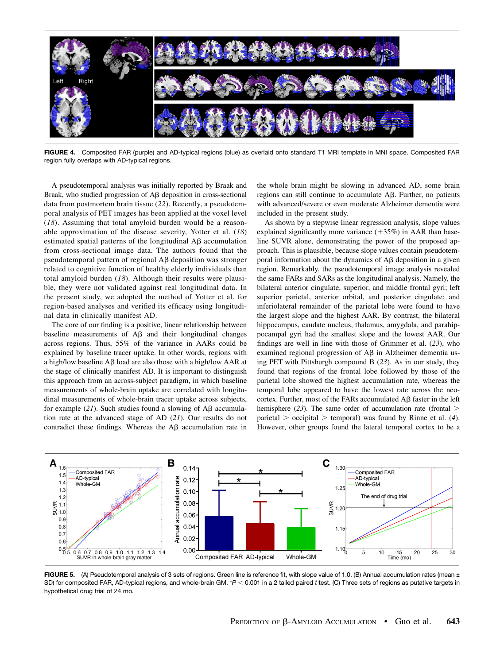

FIGURE 4. Composited FAR (purple) and AD-typical regions (blue) as overlaid onto standard T1 MRI template in MNI space. Composited FAR region fully overlaps with AD-typical regions.

A pseudotemporal analysis was initially reported by Braak and Braak, who studied progression of AB deposition in cross-sectional data from postmortem brain tissue (22). Recently, a pseudotemporal analysis of PET images has been applied at the voxel level (18). Assuming that total amyloid burden would be a reasonable approximation of the disease severity, Yotter et al. (18) estimated spatial patterns of the longitudinal AB accumulation from cross-sectional image data. The authors found that the pseudotemporal pattern of regional  $\overrightarrow{AB}$  deposition was stronger related to cognitive function of healthy elderly individuals than total amyloid burden (18). Although their results were plausible, they were not validated against real longitudinal data. In the present study, we adopted the method of Yotter et al. for region-based analyses and verified its efficacy using longitudinal data in clinically manifest AD.

The core of our finding is a positive, linear relationship between baseline measurements of  $\overrightarrow{AB}$  and their longitudinal changes across regions. Thus, 55% of the variance in AARs could be explained by baseline tracer uptake. In other words, regions with a high/low baseline  $\overrightarrow{AB}$  load are also those with a high/low AAR at the stage of clinically manifest AD. It is important to distinguish this approach from an across-subject paradigm, in which baseline measurements of whole-brain uptake are correlated with longitudinal measurements of whole-brain tracer uptake across subjects, for example  $(21)$ . Such studies found a slowing of A $\beta$  accumulation rate at the advanced stage of AD (21). Our results do not contradict these findings. Whereas the  $\text{A}\beta$  accumulation rate in

the whole brain might be slowing in advanced AD, some brain regions can still continue to accumulate AB. Further, no patients with advanced/severe or even moderate Alzheimer dementia were included in the present study.

As shown by a stepwise linear regression analysis, slope values explained significantly more variance  $(+35%)$  in AAR than baseline SUVR alone, demonstrating the power of the proposed approach. This is plausible, because slope values contain pseudotemporal information about the dynamics of  $\overrightarrow{AB}$  deposition in a given region. Remarkably, the pseudotemporal image analysis revealed the same FARs and SARs as the longitudinal analysis. Namely, the bilateral anterior cingulate, superior, and middle frontal gyri; left superior parietal, anterior orbital, and posterior cingulate; and inferiolateral remainder of the parietal lobe were found to have the largest slope and the highest AAR. By contrast, the bilateral hippocampus, caudate nucleus, thalamus, amygdala, and parahippocampal gyri had the smallest slope and the lowest AAR. Our findings are well in line with those of Grimmer et al. (23), who examined regional progression of  $A\beta$  in Alzheimer dementia using PET with Pittsburgh compound B (23). As in our study, they found that regions of the frontal lobe followed by those of the parietal lobe showed the highest accumulation rate, whereas the temporal lobe appeared to have the lowest rate across the neocortex. Further, most of the FARs accumulated  $\text{A}\beta$  faster in the left hemisphere  $(23)$ . The same order of accumulation rate (frontal  $\ge$ parietal  $>$  occipital  $>$  temporal) was found by Rinne et al. (4). However, other groups found the lateral temporal cortex to be a



FIGURE 5. (A) Pseudotemporal analysis of 3 sets of regions. Green line is reference fit, with slope value of 1.0. (B) Annual accumulation rates (mean ± SD) for composited FAR, AD-typical regions, and whole-brain GM. \* $P < 0.001$  in a 2 tailed paired t test. (C) Three sets of regions as putative targets in hypothetical drug trial of 24 mo.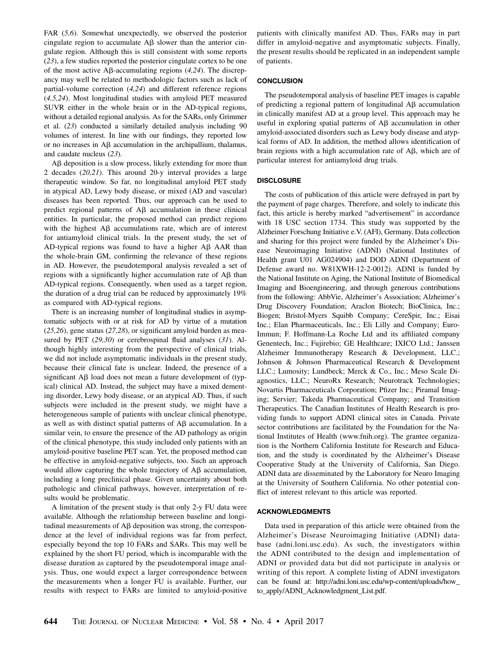FAR (5,6). Somewhat unexpectedly, we observed the posterior cingulate region to accumulate  $\text{A}\beta$  slower than the anterior cingulate region. Although this is still consistent with some reports (23), a few studies reported the posterior cingulate cortex to be one of the most active A $\beta$ -accumulating regions (4,24). The discrepancy may well be related to methodologic factors such as lack of partial-volume correction (4,24) and different reference regions (4,5,24). Most longitudinal studies with amyloid PET measured SUVR either in the whole brain or in the AD-typical regions, without a detailed regional analysis. As for the SARs, only Grimmer et al. (23) conducted a similarly detailed analysis including 90 volumes of interest. In line with our findings, they reported low or no increases in  $\overrightarrow{AB}$  accumulation in the archipallium, thalamus, and caudate nucleus (23).

 $\overrightarrow{AB}$  deposition is a slow process, likely extending for more than 2 decades (20,21). This around 20-y interval provides a large therapeutic window. So far, no longitudinal amyloid PET study in atypical AD, Lewy body disease, or mixed (AD and vascular) diseases has been reported. Thus, our approach can be used to predict regional patterns of  $\overrightarrow{AB}$  accumulation in these clinical entities. In particular, the proposed method can predict regions with the highest  $\overrightarrow{AB}$  accumulations rate, which are of interest for antiamyloid clinical trials. In the present study, the set of AD-typical regions was found to have a higher  $A\beta$  AAR than the whole-brain GM, confirming the relevance of these regions in AD. However, the pseudotemporal analysis revealed a set of regions with a significantly higher accumulation rate of  $\overrightarrow{AB}$  than AD-typical regions. Consequently, when used as a target region, the duration of a drug trial can be reduced by approximately 19% as compared with AD-typical regions.

There is an increasing number of longitudinal studies in asymptomatic subjects with or at risk for AD by virtue of a mutation (25,26), gene status (27,28), or significant amyloid burden as measured by PET (29,30) or cerebrospinal fluid analyses (31). Although highly interesting from the perspective of clinical trials, we did not include asymptomatic individuals in the present study, because their clinical fate is unclear. Indeed, the presence of a significant  $\text{A}\beta$  load does not mean a future development of (typical) clinical AD. Instead, the subject may have a mixed dementing disorder, Lewy body disease, or an atypical AD. Thus, if such subjects were included in the present study, we might have a heterogeneous sample of patients with unclear clinical phenotype, as well as with distinct spatial patterns of  $\overrightarrow{AB}$  accumulation. In a similar vein, to ensure the presence of the AD pathology as origin of the clinical phenotype, this study included only patients with an amyloid-positive baseline PET scan. Yet, the proposed method can be effective in amyloid-negative subjects, too. Such an approach would allow capturing the whole trajectory of  $\overrightarrow{AB}$  accumulation, including a long preclinical phase. Given uncertainty about both pathologic and clinical pathways, however, interpretation of results would be problematic.

A limitation of the present study is that only 2-y FU data were available. Although the relationship between baseline and longitudinal measurements of  $\overrightarrow{AB}$  deposition was strong, the correspondence at the level of individual regions was far from perfect, especially beyond the top 10 FARs and SARs. This may well be explained by the short FU period, which is incomparable with the disease duration as captured by the pseudotemporal image analysis. Thus, one would expect a larger correspondence between the measurements when a longer FU is available. Further, our results with respect to FARs are limited to amyloid-positive patients with clinically manifest AD. Thus, FARs may in part differ in amyloid-negative and asymptomatic subjects. Finally, the present results should be replicated in an independent sample of patients.

# **CONCLUSION**

The pseudotemporal analysis of baseline PET images is capable of predicting a regional pattern of longitudinal  $\overrightarrow{AB}$  accumulation in clinically manifest AD at a group level. This approach may be useful in exploring spatial patterns of  $\overrightarrow{AB}$  accumulation in other amyloid-associated disorders such as Lewy body disease and atypical forms of AD. In addition, the method allows identification of brain regions with a high accumulation rate of  $A\beta$ , which are of particular interest for antiamyloid drug trials.

## **DISCLOSURE**

The costs of publication of this article were defrayed in part by the payment of page charges. Therefore, and solely to indicate this fact, this article is hereby marked "advertisement" in accordance with 18 USC section 1734. This study was supported by the Alzheimer Forschung Initiative e.V. (AFI), Germany. Data collection and sharing for this project were funded by the Alzheimer's Disease Neuroimaging Initiative (ADNI) (National Institutes of Health grant U01 AG024904) and DOD ADNI (Department of Defense award no. W81XWH-12-2-0012). ADNI is funded by the National Institute on Aging, the National Institute of Biomedical Imaging and Bioengineering, and through generous contributions from the following: AbbVie, Alzheimer's Association; Alzheimer's Drug Discovery Foundation; Araclon Biotech; BioClinica, Inc.; Biogen; Bristol-Myers Squibb Company; CereSpir, Inc.; Eisai Inc.; Elan Pharmaceuticals, Inc.; Eli Lilly and Company; Euro-Immun; F. Hoffmann-La Roche Ltd and its affiliated company Genentech, Inc.; Fujirebio; GE Healthcare; IXICO Ltd.; Janssen Alzheimer Immunotherapy Research & Development, LLC.; Johnson & Johnson Pharmaceutical Research & Development LLC.; Lumosity; Lundbeck; Merck & Co., Inc.; Meso Scale Diagnostics, LLC.; NeuroRx Research; Neurotrack Technologies; Novartis Pharmaceuticals Corporation; Pfizer Inc.; Piramal Imaging; Servier; Takeda Pharmaceutical Company; and Transition Therapeutics. The Canadian Institutes of Health Research is providing funds to support ADNI clinical sites in Canada. Private sector contributions are facilitated by the Foundation for the National Institutes of Health [\(www.fnih.org](http://www.fnih.org)). The grantee organization is the Northern California Institute for Research and Education, and the study is coordinated by the Alzheimer's Disease Cooperative Study at the University of California, San Diego. ADNI data are disseminated by the Laboratory for Neuro Imaging at the University of Southern California. No other potential conflict of interest relevant to this article was reported.

# ACKNOWLEDGMENTS

Data used in preparation of this article were obtained from the Alzheimer's Disease Neuroimaging Initiative (ADNI) database [\(adni.loni.usc.edu](http://adni.loni.usc.edu)). As such, the investigators within the ADNI contributed to the design and implementation of ADNI or provided data but did not participate in analysis or writing of this report. A complete listing of ADNI investigators can be found at: [http://adni.loni.usc.edu/wp-content/uploads/how\\_](http://adni.loni.usc.edu/wp-content/uploads/how_to_apply/ADNI_Acknowledgment_List.pdf) [to\\_apply/ADNI\\_Acknowledgment\\_List.pdf](http://adni.loni.usc.edu/wp-content/uploads/how_to_apply/ADNI_Acknowledgment_List.pdf).